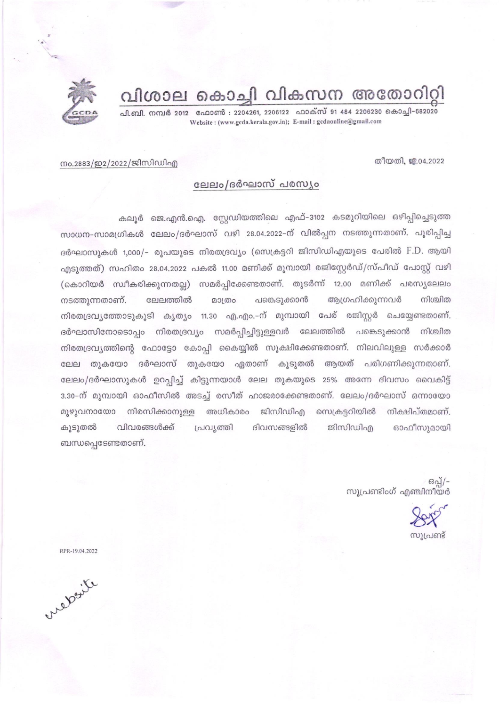

പി.ബി. നമ്പർ 2012 - ഫോൺ : 2204261, 2206122 - ഫാക്സ് 91 484 2206230 കൊച്ചി-682020 Website: (www.gcda.kerala.gov.in); E-mail: gcdaonline@gmail.com

## തീയതി. ജ.04.2022

## നം.2883/ഇ2/2022/ജിസിഡിഎ

## ലേലം/ദർഘാസ് പരസ്യം

കലൂർ ജെ.എൻ.ഐ. സ്റ്റേഡിയത്തിലെ എഫ്-3102 കടമുറിയിലെ ഒഴിപ്പിച്ചെടുത്ത സാധന-സാമഗ്രികൾ ലേലം/ദർഘാസ് വഴി 28.04.2022–ന് വിൽപ്പന നടത്തുന്നതാണ്. പൂരിപ്പിച്ച ദർഘാസുകൾ 1,000/- രൂപയുടെ നിരതദ്രവ്യം (സെക്രട്ടറി ജിസിഡിഎയുടെ പേരിൽ F.D. ആയി എടുത്തത്) സഹിതം 28.04.2022 പകൽ 11.00 മണിക്ക് മുമ്പായി രജിസ്റ്റേർഡ്/സ്പീഡ് പോസ്റ്റ് വഴി (കൊറിയർ സ്വീകരിക്കുന്നതല്ല) സമർപ്പിക്കേണ്ടതാണ്. തുടർന്ന് 12.00 മണിക്ക് പരസ്യലേലം നടത്തുന്നതാണ്. ലേലത്തിൽ മാത്രം പങ്കെടുക്കാൻ അഗ്രഹിക്കുന്നവർ നിശ്ചിത നിരതദ്രവൃത്തോടുകൂടി കൃത്യം 11.30 എ.എം.–ന് മുമ്പായി പേര് രജിസ്റ്റർ ചെയ്യേണ്ടതാണ്. ദർഘാസിനോടൊപ്പം നിരതദ്രവ്യം സമർപ്പിച്ചിട്ടുള്ളവർ ലേലത്തിൽ പങ്കെടുക്കാൻ നിശ്ചിത നിരതദ്രവ്യത്തിന്റെ ഫോട്ടോ കോപ്പി കൈയ്യിൽ സൂക്ഷിക്കേണ്ടതാണ്. നിലവിലുള്ള സർക്കാർ ലേല തുകയോ ദർഘാസ് തുകയോ ഏതാണ് കൂടുതൽ ആയത് പരിഗണിക്കുന്നതാണ്. ലേലം/ദർഘാസുകൾ ഉറപ്പിച്ച് കിട്ടുന്നയാൾ ലേല തുകയുടെ 25% അന്നേ ദിവസം വൈകിട്ട് 3.30-ന് മുമ്പായി ഓഫീസിൽ അടച്ച് രസീത് ഹാജരാക്കേണ്ടതാണ്. ലേലം/ദർഘാസ് ഒന്നായോ നിരസിക്കാനുള്ള അധികാരം ജിസിഡിഎ സെക്രട്ടറിയിൽ മുഴുവനായോ നിക്ഷിപ്തമാണ്. കൂടുതൽ വിവരങ്ങൾക്ക് പ്രവ്യത്തി ദിവസങ്ങളിൽ ജിസിഡിഎ ഓഫീസുമായി ബന്ധപ്പെടേണ്ടതാണ്.

> ഒപ്പ്/-സുപ്രണ്ടിംഗ് എഞ്ചിനീയർ

്വ്യപണ്ട്

RPR-19.04.2022

website